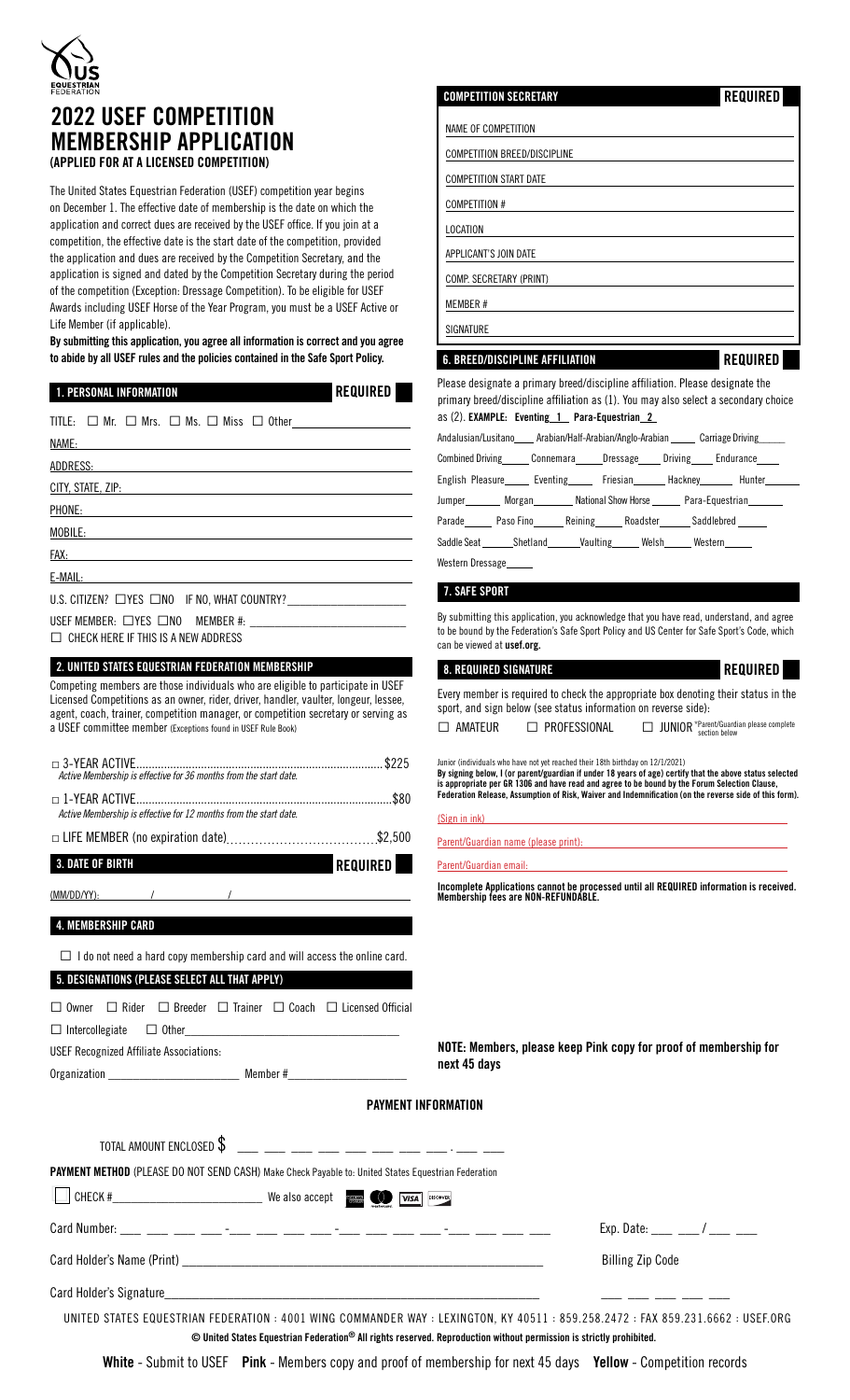

# 2022 USEF COMPETITION MEMBERSHIP APPLICATION

(APPLIED FOR AT A LICENSED COMPETITION)

The United States Equestrian Federation (USEF) competition year begins on December 1. The effective date of membership is the date on which the application and correct dues are received by the USEF office. If you join at a competition, the effective date is the start date of the competition, provided the application and dues are received by the Competition Secretary, and the application is signed and dated by the Competition Secretary during the period of the competition (Exception: Dressage Competition). To be eligible for USEF Awards including USEF Horse of the Year Program, you must be a USEF Active or Life Member (if applicable).

By submitting this application, you agree all information is correct and you agree to abide by all USEF rules and the policies contained in the Safe Sport Policy.

REQUIRED

## 1. PERSONAL INFORMATION

| NAME: NAME:                                                                                                                                                                                                                    |
|--------------------------------------------------------------------------------------------------------------------------------------------------------------------------------------------------------------------------------|
| A <u>DDRESS:</u>                                                                                                                                                                                                               |
|                                                                                                                                                                                                                                |
| PHONE: PHONE PHONE                                                                                                                                                                                                             |
| MOBI <u>LE:</u>                                                                                                                                                                                                                |
| FAX: The contract of the contract of the contract of the contract of the contract of the contract of the contract of the contract of the contract of the contract of the contract of the contract of the contract of the contr |
| <b>E-MAIL: E-MAIL:</b>                                                                                                                                                                                                         |
| U.S. CITIZEN? □ YES □ NO IF NO, WHAT COUNTRY? __________________________________                                                                                                                                               |
| $\Box$ CHECK HERE IF THIS IS A NEW ADDRESS                                                                                                                                                                                     |

2. UNITED STATES EQUESTRIAN FEDERATION MEMBERSHIP

Competing members are those individuals who are eligible to participate in USEF Licensed Competitions as an owner, rider, driver, handler, vaulter, longeur, lessee, agent, coach, trainer, competition manager, or competition secretary or serving as a USEF committee member (Exceptions found in USEF Rule Book)

| Active Membership is effective for 36 months from the start date. |  |
|-------------------------------------------------------------------|--|
| Active Membership is effective for 12 months from the start date. |  |
|                                                                   |  |

3. DATE OF BIRTH REQUIRED

(MM/DD/YY):

#### 4. MEMBERSHIP CARD

 $\square$  I do not need a hard copy membership card and will access the online card.

# 5. DESIGNATIONS (PLEASE SELECT ALL THAT APPLY)

|  |                                     |  | $\Box$ Owner $\Box$ Rider $\Box$ Breeder $\Box$ Trainer $\Box$ Coach $\Box$ Licensed Official |
|--|-------------------------------------|--|-----------------------------------------------------------------------------------------------|
|  | $\Box$ Intercollegiate $\Box$ Other |  |                                                                                               |

USEF Recognized Affiliate Associations: Organization \_\_\_\_\_\_\_\_\_\_\_\_\_\_\_\_\_\_\_\_\_ Member #\_\_\_\_\_\_\_\_\_\_\_\_\_\_\_\_\_\_\_

| <b>COMPETITION SECRETARY</b><br>REQUIRED                                                                                                                                                                                      |
|-------------------------------------------------------------------------------------------------------------------------------------------------------------------------------------------------------------------------------|
| NAME OF COMPETITION                                                                                                                                                                                                           |
| <b>COMPETITION BREED/DISCIPLINE</b>                                                                                                                                                                                           |
| <b>COMPETITION START DATE</b>                                                                                                                                                                                                 |
| COMPETITION #                                                                                                                                                                                                                 |
| LOCATION                                                                                                                                                                                                                      |
| APPLICANT'S JOIN DATE                                                                                                                                                                                                         |
| COMP. SECRETARY (PRINT)                                                                                                                                                                                                       |
| MEMBER #                                                                                                                                                                                                                      |
| <b>SIGNATURE</b>                                                                                                                                                                                                              |
| <b>6. BREED/DISCIPLINE AFFILIATION</b><br><b>REQUIRED</b>                                                                                                                                                                     |
| Please designate a primary breed/discipline affiliation. Please designate the<br>primary breed/discipline affiliation as (1). You may also select a secondary choice<br>as (2). <b>EXAMPLE</b> : Eventing 1 Para-Equestrian 2 |
| Andalusian/Lusitano Arabian/Half-Arabian/Anglo-Arabian Carriage Driving                                                                                                                                                       |
| Combined Driving Connemara Dressage Driving Endurance                                                                                                                                                                         |
| English Pleasure _____ Eventing ______ Friesian ______ Hackney _______ Hunter _______                                                                                                                                         |
| Jumper________ Morgan________ National Show Horse ______ Para-Equestrian_______                                                                                                                                               |

Parade\_\_\_\_\_\_ Paso Fino\_\_\_\_\_\_ Reining\_\_\_\_\_\_ Roadster\_\_\_\_\_\_ Saddlebred Saddle Seat \_\_\_\_\_\_\_Shetland\_\_\_\_\_\_\_Vaulting\_\_\_\_\_\_ Welsh\_\_\_\_\_\_ Western\_

Western Dressage

#### 7. SAFE SPORT

By submitting this application, you acknowledge that you have read, understand, and agree to be bound by the Federation's Safe Sport Policy and US Center for Safe Sport's Code, which can be viewed at usef.org.

#### 8. REQUIRED SIGNATURE **REQUIRED**

Every member is required to check the appropriate box denoting their status in the sport, and sign below (see status information on reverse side):

| $\Box$ PROFESSIONAL<br>$\Box$ AMATEUR |  | $\Box$ JUNIOR *Parent/Guardian please complete |  |
|---------------------------------------|--|------------------------------------------------|--|
|---------------------------------------|--|------------------------------------------------|--|

Junior (individuals who have not yet reached their 18th birthday on 12/1/2021)

By signing below, I (or parent/guardian if under 18 years of age) certify that the above status selected is appropriate per GR 1306 and have read and agree to be bound by the Forum Selection Clause, Federation Release, Assumption of Risk, Waiver and Indemnification (on the reverse side of this form).

(Sign in ink)

Parent/Guardian name (please print):

Parent/Guardian email:

Incomplete Applications cannot be processed until all REQUIRED information is received. Membership fees are NON-REFUNDABLE.

NOTE: Members, please keep Pink copy for proof of membership for next 45 days

### PAYMENT INFORMATION

|                               | <b>PAYMENT METHOD</b> (PLEASE DO NOT SEND CASH) Make Check Payable to: United States Equestrian Federation                            |                                                                                                                                  |
|-------------------------------|---------------------------------------------------------------------------------------------------------------------------------------|----------------------------------------------------------------------------------------------------------------------------------|
| $\Box$ CHECK # $\Box$ CHECK # |                                                                                                                                       |                                                                                                                                  |
|                               | Card Number: ___ ___ ___ ___ -__ -___ ___ ___ ___ -__ -__ -__ ___ ___ ___ -__ -__ -__ ___ ___                                         | Exp. Date: ____ ___ / ____ ___                                                                                                   |
|                               |                                                                                                                                       | <b>Billing Zip Code</b>                                                                                                          |
|                               |                                                                                                                                       |                                                                                                                                  |
|                               | $\odot$ United States Equestrian Federation $^\circledR$ All rights reserved. Reproduction without permission is strictly prohibited. | UNITED STATES EQUESTRIAN FEDERATION : 4001 WING COMMANDER WAY : LEXINGTON, KY 40511 : 859.258.2472 : FAX 859.231.6662 : USEF.ORG |

White - Submit to USEF Pink - Members copy and proof of membership for next 45 days Yellow - Competition records